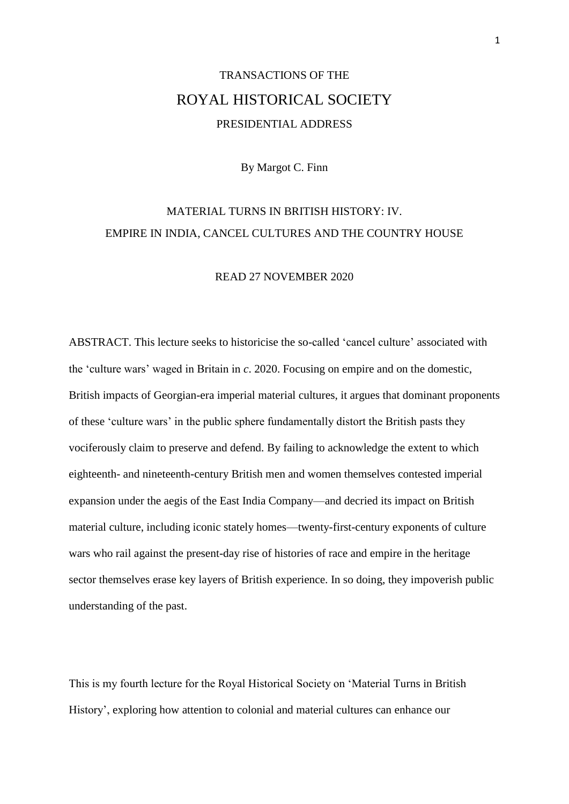# TRANSACTIONS OF THE ROYAL HISTORICAL SOCIETY PRESIDENTIAL ADDRESS

By Margot C. Finn

## MATERIAL TURNS IN BRITISH HISTORY: IV. EMPIRE IN INDIA, CANCEL CULTURES AND THE COUNTRY HOUSE

#### READ 27 NOVEMBER 2020

ABSTRACT. This lecture seeks to historicise the so-called 'cancel culture' associated with the 'culture wars' waged in Britain in *c*. 2020. Focusing on empire and on the domestic, British impacts of Georgian-era imperial material cultures, it argues that dominant proponents of these 'culture wars' in the public sphere fundamentally distort the British pasts they vociferously claim to preserve and defend. By failing to acknowledge the extent to which eighteenth- and nineteenth-century British men and women themselves contested imperial expansion under the aegis of the East India Company—and decried its impact on British material culture, including iconic stately homes—twenty-first-century exponents of culture wars who rail against the present-day rise of histories of race and empire in the heritage sector themselves erase key layers of British experience. In so doing, they impoverish public understanding of the past.

This is my fourth lecture for the Royal Historical Society on 'Material Turns in British History', exploring how attention to colonial and material cultures can enhance our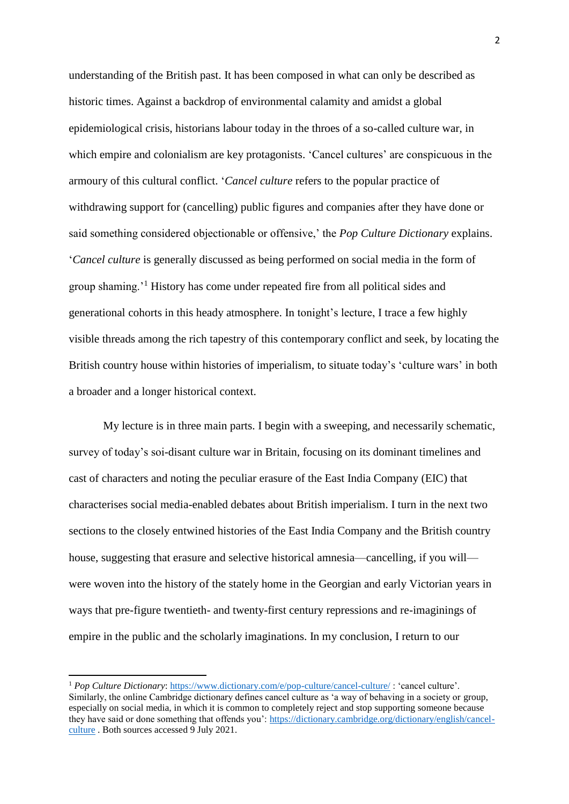understanding of the British past. It has been composed in what can only be described as historic times. Against a backdrop of environmental calamity and amidst a global epidemiological crisis, historians labour today in the throes of a so-called culture war, in which empire and colonialism are key protagonists. 'Cancel cultures' are conspicuous in the armoury of this cultural conflict. '*Cancel culture* refers to the popular practice of withdrawing support for (cancelling) public figures and companies after they have done or said something considered objectionable or offensive,' the *Pop Culture Dictionary* explains. '*Cancel culture* is generally discussed as being performed on social media in the form of group shaming.'<sup>1</sup> History has come under repeated fire from all political sides and generational cohorts in this heady atmosphere. In tonight's lecture, I trace a few highly visible threads among the rich tapestry of this contemporary conflict and seek, by locating the British country house within histories of imperialism, to situate today's 'culture wars' in both a broader and a longer historical context.

My lecture is in three main parts. I begin with a sweeping, and necessarily schematic, survey of today's soi-disant culture war in Britain, focusing on its dominant timelines and cast of characters and noting the peculiar erasure of the East India Company (EIC) that characterises social media-enabled debates about British imperialism. I turn in the next two sections to the closely entwined histories of the East India Company and the British country house, suggesting that erasure and selective historical amnesia—cancelling, if you will were woven into the history of the stately home in the Georgian and early Victorian years in ways that pre-figure twentieth- and twenty-first century repressions and re-imaginings of empire in the public and the scholarly imaginations. In my conclusion, I return to our

<sup>1</sup> *Pop Culture Dictionary*:<https://www.dictionary.com/e/pop-culture/cancel-culture/> : 'cancel culture'. Similarly, the online Cambridge dictionary defines cancel culture as 'a way of behaving in a society or group, especially on social media, in which it is common to completely reject and stop supporting someone because they have said or done something that offends you': [https://dictionary.cambridge.org/dictionary/english/cancel](https://dictionary.cambridge.org/dictionary/english/cancel-culture)[culture](https://dictionary.cambridge.org/dictionary/english/cancel-culture) . Both sources accessed 9 July 2021.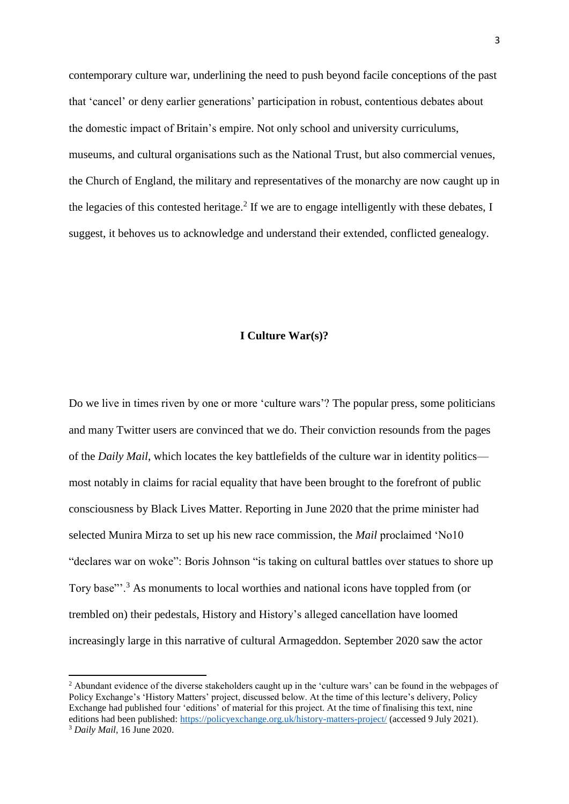contemporary culture war, underlining the need to push beyond facile conceptions of the past that 'cancel' or deny earlier generations' participation in robust, contentious debates about the domestic impact of Britain's empire. Not only school and university curriculums, museums, and cultural organisations such as the National Trust, but also commercial venues, the Church of England, the military and representatives of the monarchy are now caught up in the legacies of this contested heritage.<sup>2</sup> If we are to engage intelligently with these debates, I suggest, it behoves us to acknowledge and understand their extended, conflicted genealogy.

#### **I Culture War(s)?**

Do we live in times riven by one or more 'culture wars'? The popular press, some politicians and many Twitter users are convinced that we do. Their conviction resounds from the pages of the *Daily Mail*, which locates the key battlefields of the culture war in identity politics most notably in claims for racial equality that have been brought to the forefront of public consciousness by Black Lives Matter. Reporting in June 2020 that the prime minister had selected Munira Mirza to set up his new race commission, the *Mail* proclaimed 'No10 "declares war on woke": Boris Johnson "is taking on cultural battles over statues to shore up Tory base"<sup>3</sup>. As monuments to local worthies and national icons have toppled from (or trembled on) their pedestals, History and History's alleged cancellation have loomed increasingly large in this narrative of cultural Armageddon. September 2020 saw the actor

<sup>&</sup>lt;sup>2</sup> Abundant evidence of the diverse stakeholders caught up in the 'culture wars' can be found in the webpages of Policy Exchange's 'History Matters' project, discussed below. At the time of this lecture's delivery, Policy Exchange had published four 'editions' of material for this project. At the time of finalising this text, nine editions had been published:<https://policyexchange.org.uk/history-matters-project/> (accessed 9 July 2021). <sup>3</sup> *Daily Mail*, 16 June 2020.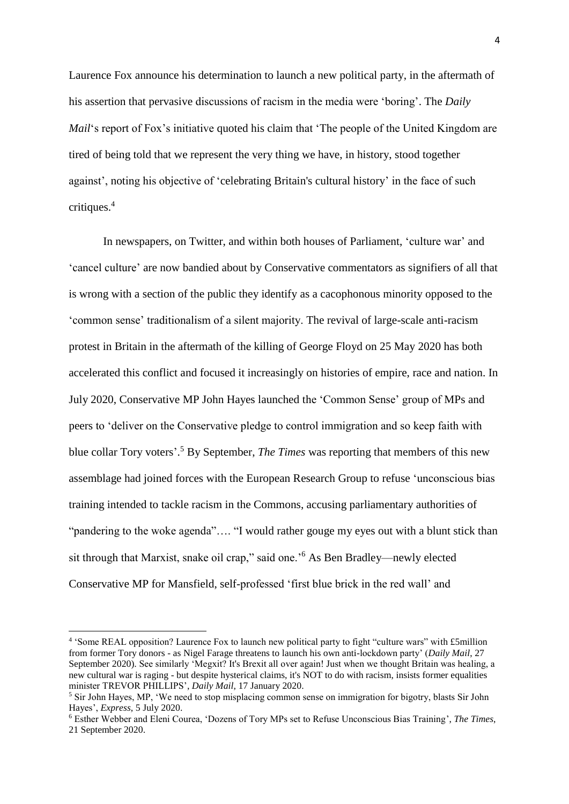Laurence Fox announce his determination to launch a new political party, in the aftermath of his assertion that pervasive discussions of racism in the media were 'boring'. The *Daily Mail*'s report of Fox's initiative quoted his claim that 'The people of the United Kingdom are tired of being told that we represent the very thing we have, in history, stood together against', noting his objective of 'celebrating Britain's cultural history' in the face of such critiques.<sup>4</sup>

In newspapers, on Twitter, and within both houses of Parliament, 'culture war' and 'cancel culture' are now bandied about by Conservative commentators as signifiers of all that is wrong with a section of the public they identify as a cacophonous minority opposed to the 'common sense' traditionalism of a silent majority. The revival of large-scale anti-racism protest in Britain in the aftermath of the killing of George Floyd on 25 May 2020 has both accelerated this conflict and focused it increasingly on histories of empire, race and nation. In July 2020, Conservative MP John Hayes launched the 'Common Sense' group of MPs and peers to 'deliver on the Conservative pledge to control immigration and so keep faith with blue collar Tory voters'. <sup>5</sup> By September, *The Times* was reporting that members of this new assemblage had joined forces with the European Research Group to refuse 'unconscious bias training intended to tackle racism in the Commons, accusing parliamentary authorities of "pandering to the woke agenda"…. "I would rather gouge my eyes out with a blunt stick than sit through that Marxist, snake oil crap," said one.'<sup>6</sup> As Ben Bradley—newly elected Conservative MP for Mansfield, self-professed 'first blue brick in the red wall' and

<sup>4</sup> 'Some REAL opposition? Laurence Fox to launch new political party to fight "culture wars" with £5million from former Tory donors - as Nigel Farage threatens to launch his own anti-lockdown party' (*Daily Mail*, 27 September 2020). See similarly 'Megxit? It's Brexit all over again! Just when we thought Britain was healing, a new cultural war is raging - but despite hysterical claims, it's NOT to do with racism, insists former equalities minister TREVOR PHILLIPS', *Daily Mail*, 17 January 2020.

<sup>&</sup>lt;sup>5</sup> Sir John Hayes, MP, 'We need to stop misplacing common sense on immigration for bigotry, blasts Sir John Hayes', *Express*, 5 July 2020.

<sup>6</sup> Esther Webber and Eleni Courea, 'Dozens of Tory MPs set to Refuse Unconscious Bias Training', *The Times*, 21 September 2020.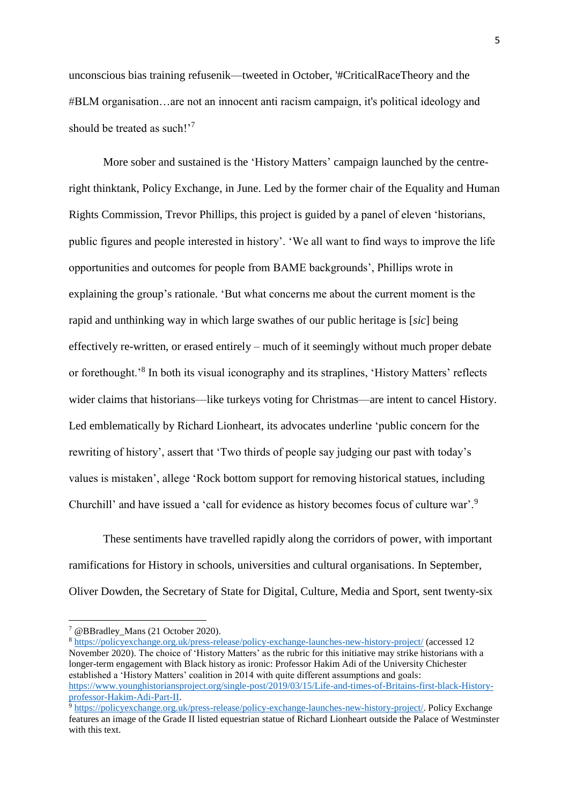unconscious bias training refusenik—tweeted in October, '#CriticalRaceTheory and the #BLM organisation…are not an innocent anti racism campaign, it's political ideology and should be treated as such!'<sup>7</sup>

More sober and sustained is the 'History Matters' campaign launched by the centreright thinktank, Policy Exchange, in June. Led by the former chair of the Equality and Human Rights Commission, Trevor Phillips, this project is guided by a panel of eleven 'historians, public figures and people interested in history'. 'We all want to find ways to improve the life opportunities and outcomes for people from BAME backgrounds', Phillips wrote in explaining the group's rationale. 'But what concerns me about the current moment is the rapid and unthinking way in which large swathes of our public heritage is [*sic*] being effectively re-written, or erased entirely – much of it seemingly without much proper debate or forethought.'<sup>8</sup> In both its visual iconography and its straplines, 'History Matters' reflects wider claims that historians—like turkeys voting for Christmas—are intent to cancel History. Led emblematically by Richard Lionheart, its advocates underline 'public concern for the rewriting of history', assert that 'Two thirds of people say judging our past with today's values is mistaken', allege 'Rock bottom support for removing historical statues, including Churchill' and have issued a 'call for evidence as history becomes focus of culture war'.<sup>9</sup>

These sentiments have travelled rapidly along the corridors of power, with important ramifications for History in schools, universities and cultural organisations. In September, Oliver Dowden, the Secretary of State for Digital, Culture, Media and Sport, sent twenty-six

<sup>7</sup> @BBradley\_Mans (21 October 2020).

<sup>8</sup> <https://policyexchange.org.uk/press-release/policy-exchange-launches-new-history-project/> (accessed 12 November 2020). The choice of 'History Matters' as the rubric for this initiative may strike historians with a longer-term engagement with Black history as ironic: Professor Hakim Adi of the University Chichester established a 'History Matters' coalition in 2014 with quite different assumptions and goals: [https://www.younghistoriansproject.org/single-post/2019/03/15/Life-and-times-of-Britains-first-black-History](https://www.younghistoriansproject.org/single-post/2019/03/15/Life-and-times-of-Britains-first-black-History-professor-Hakim-Adi-Part-II)[professor-Hakim-Adi-Part-II.](https://www.younghistoriansproject.org/single-post/2019/03/15/Life-and-times-of-Britains-first-black-History-professor-Hakim-Adi-Part-II)

<sup>&</sup>lt;sup>9</sup> [https://policyexchange.org.uk/press-release/policy-exchange-launches-new-history-project/.](https://policyexchange.org.uk/press-release/policy-exchange-launches-new-history-project/) Policy Exchange features an image of the Grade II listed equestrian statue of Richard Lionheart outside the Palace of Westminster with this text.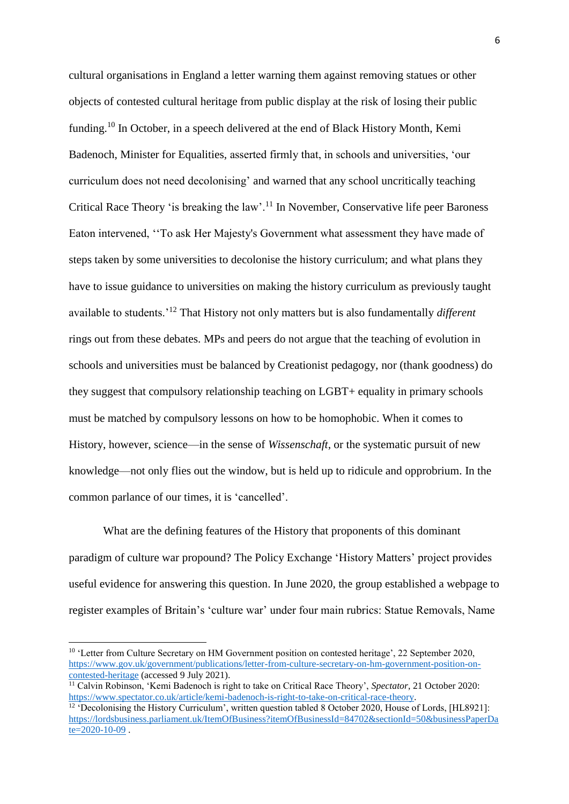cultural organisations in England a letter warning them against removing statues or other objects of contested cultural heritage from public display at the risk of losing their public funding.<sup>10</sup> In October, in a speech delivered at the end of Black History Month, Kemi Badenoch, Minister for Equalities, asserted firmly that, in schools and universities, 'our curriculum does not need decolonising' and warned that any school uncritically teaching Critical Race Theory 'is breaking the law'.<sup>11</sup> In November, Conservative life peer Baroness Eaton intervened, ''To ask Her Majesty's Government what assessment they have made of steps taken by some universities to decolonise the history curriculum; and what plans they have to issue guidance to universities on making the history curriculum as previously taught available to students.'<sup>12</sup> That History not only matters but is also fundamentally *different* rings out from these debates. MPs and peers do not argue that the teaching of evolution in schools and universities must be balanced by Creationist pedagogy, nor (thank goodness) do they suggest that compulsory relationship teaching on LGBT+ equality in primary schools must be matched by compulsory lessons on how to be homophobic. When it comes to History, however, science—in the sense of *Wissenschaft*, or the systematic pursuit of new knowledge—not only flies out the window, but is held up to ridicule and opprobrium. In the common parlance of our times, it is 'cancelled'.

What are the defining features of the History that proponents of this dominant paradigm of culture war propound? The Policy Exchange 'History Matters' project provides useful evidence for answering this question. In June 2020, the group established a webpage to register examples of Britain's 'culture war' under four main rubrics: Statue Removals, Name

<sup>&</sup>lt;sup>10</sup> 'Letter from Culture Secretary on HM Government position on contested heritage', 22 September 2020, [https://www.gov.uk/government/publications/letter-from-culture-secretary-on-hm-government-position-on](https://www.gov.uk/government/publications/letter-from-culture-secretary-on-hm-government-position-on-contested-heritage)[contested-heritage](https://www.gov.uk/government/publications/letter-from-culture-secretary-on-hm-government-position-on-contested-heritage) (accessed 9 July 2021).

<sup>&</sup>lt;sup>11</sup> Calvin Robinson, 'Kemi Badenoch is right to take on Critical Race Theory', *Spectator*, 21 October 2020: [https://www.spectator.co.uk/article/kemi-badenoch-is-right-to-take-on-critical-race-theory.](https://www.spectator.co.uk/article/kemi-badenoch-is-right-to-take-on-critical-race-theory)

<sup>&</sup>lt;sup>12</sup> 'Decolonising the History Curriculum', written question tabled 8 October 2020, House of Lords, [HL8921]: [https://lordsbusiness.parliament.uk/ItemOfBusiness?itemOfBusinessId=84702&sectionId=50&businessPaperDa](https://lordsbusiness.parliament.uk/ItemOfBusiness?itemOfBusinessId=84702§ionId=50&businessPaperDate=2020-10-09)  $te = 2020 - 10 - 09$ .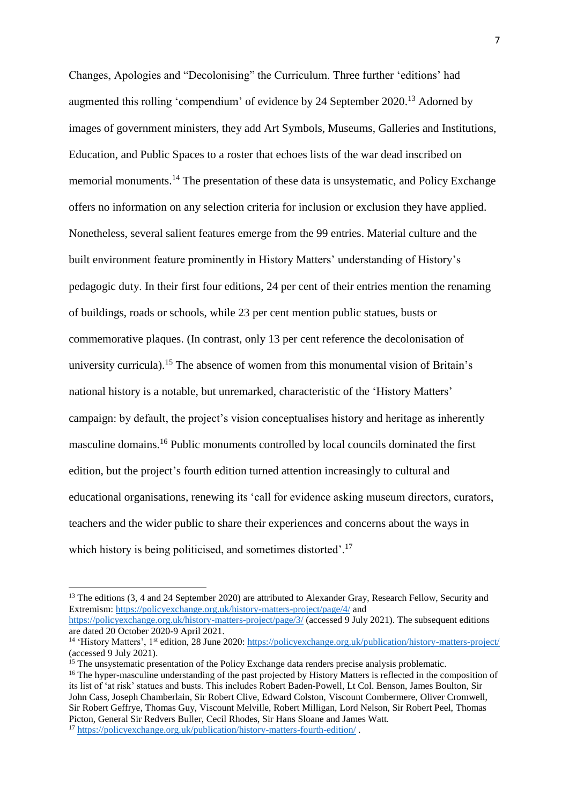Changes, Apologies and "Decolonising" the Curriculum. Three further 'editions' had augmented this rolling 'compendium' of evidence by 24 September 2020.<sup>13</sup> Adorned by images of government ministers, they add Art Symbols, Museums, Galleries and Institutions, Education, and Public Spaces to a roster that echoes lists of the war dead inscribed on memorial monuments.<sup>14</sup> The presentation of these data is unsystematic, and Policy Exchange offers no information on any selection criteria for inclusion or exclusion they have applied. Nonetheless, several salient features emerge from the 99 entries. Material culture and the built environment feature prominently in History Matters' understanding of History's pedagogic duty. In their first four editions, 24 per cent of their entries mention the renaming of buildings, roads or schools, while 23 per cent mention public statues, busts or commemorative plaques. (In contrast, only 13 per cent reference the decolonisation of university curricula). <sup>15</sup> The absence of women from this monumental vision of Britain's national history is a notable, but unremarked, characteristic of the 'History Matters' campaign: by default, the project's vision conceptualises history and heritage as inherently masculine domains.<sup>16</sup> Public monuments controlled by local councils dominated the first edition, but the project's fourth edition turned attention increasingly to cultural and educational organisations, renewing its 'call for evidence asking museum directors, curators, teachers and the wider public to share their experiences and concerns about the ways in which history is being politicised, and sometimes distorted'.<sup>17</sup>

<sup>&</sup>lt;sup>13</sup> The editions (3, 4 and 24 September 2020) are attributed to Alexander Gray, Research Fellow, Security and Extremism: <https://policyexchange.org.uk/history-matters-project/page/4/> and

<https://policyexchange.org.uk/history-matters-project/page/3/> (accessed 9 July 2021). The subsequent editions are dated 20 October 2020-9 April 2021.

<sup>&</sup>lt;sup>14</sup> 'History Matters', 1<sup>st</sup> edition, 28 June 2020:<https://policyexchange.org.uk/publication/history-matters-project/> (accessed 9 July 2021).

<sup>&</sup>lt;sup>15</sup> The unsystematic presentation of the Policy Exchange data renders precise analysis problematic.

<sup>&</sup>lt;sup>16</sup> The hyper-masculine understanding of the past projected by History Matters is reflected in the composition of its list of 'at risk' statues and busts. This includes Robert Baden-Powell, Lt Col. Benson, James Boulton, Sir John Cass, Joseph Chamberlain, Sir Robert Clive, Edward Colston, Viscount Combermere, Oliver Cromwell, Sir Robert Geffrye, Thomas Guy, Viscount Melville, Robert Milligan, Lord Nelson, Sir Robert Peel, Thomas Picton, General Sir Redvers Buller, Cecil Rhodes, Sir Hans Sloane and James Watt. <sup>17</sup> <https://policyexchange.org.uk/publication/history-matters-fourth-edition/> .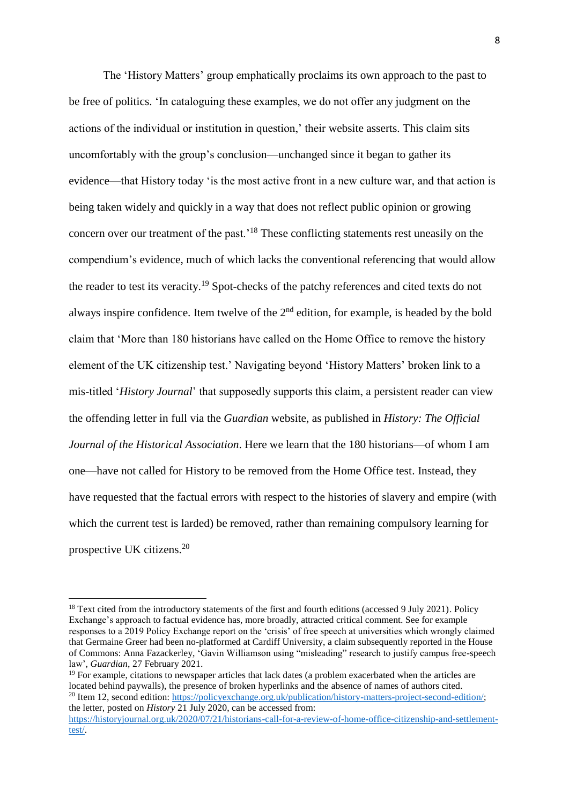The 'History Matters' group emphatically proclaims its own approach to the past to be free of politics. 'In cataloguing these examples, we do not offer any judgment on the actions of the individual or institution in question,' their website asserts. This claim sits uncomfortably with the group's conclusion—unchanged since it began to gather its evidence—that History today 'is the most active front in a new culture war, and that action is being taken widely and quickly in a way that does not reflect public opinion or growing concern over our treatment of the past.'<sup>18</sup> These conflicting statements rest uneasily on the compendium's evidence, much of which lacks the conventional referencing that would allow the reader to test its veracity.<sup>19</sup> Spot-checks of the patchy references and cited texts do not always inspire confidence. Item twelve of the 2<sup>nd</sup> edition, for example, is headed by the bold claim that 'More than 180 historians have called on the Home Office to remove the history element of the UK citizenship test.' Navigating beyond 'History Matters' broken link to a mis-titled '*History Journal*' that supposedly supports this claim, a persistent reader can view the offending letter in full via the *Guardian* website, as published in *History: The Official Journal of the Historical Association*. Here we learn that the 180 historians—of whom I am one—have not called for History to be removed from the Home Office test. Instead, they have requested that the factual errors with respect to the histories of slavery and empire (with which the current test is larded) be removed, rather than remaining compulsory learning for prospective UK citizens.<sup>20</sup>

<sup>&</sup>lt;sup>18</sup> Text cited from the introductory statements of the first and fourth editions (accessed 9 July 2021). Policy Exchange's approach to factual evidence has, more broadly, attracted critical comment. See for example responses to a 2019 Policy Exchange report on the 'crisis' of free speech at universities which wrongly claimed that Germaine Greer had been no-platformed at Cardiff University, a claim subsequently reported in the House of Commons: Anna Fazackerley, 'Gavin Williamson using "misleading" research to justify campus free-speech law', *Guardian*, 27 February 2021.

<sup>&</sup>lt;sup>19</sup> For example, citations to newspaper articles that lack dates (a problem exacerbated when the articles are located behind paywalls), the presence of broken hyperlinks and the absence of names of authors cited. <sup>20</sup> Item 12, second edition: [https://policyexchange.org.uk/publication/history-matters-project-second-edition/;](https://policyexchange.org.uk/publication/history-matters-project-second-edition/)

the letter, posted on *History* 21 July 2020, can be accessed from:

[https://historyjournal.org.uk/2020/07/21/historians-call-for-a-review-of-home-office-citizenship-and-settlement](https://historyjournal.org.uk/2020/07/21/historians-call-for-a-review-of-home-office-citizenship-and-settlement-test/)[test/.](https://historyjournal.org.uk/2020/07/21/historians-call-for-a-review-of-home-office-citizenship-and-settlement-test/)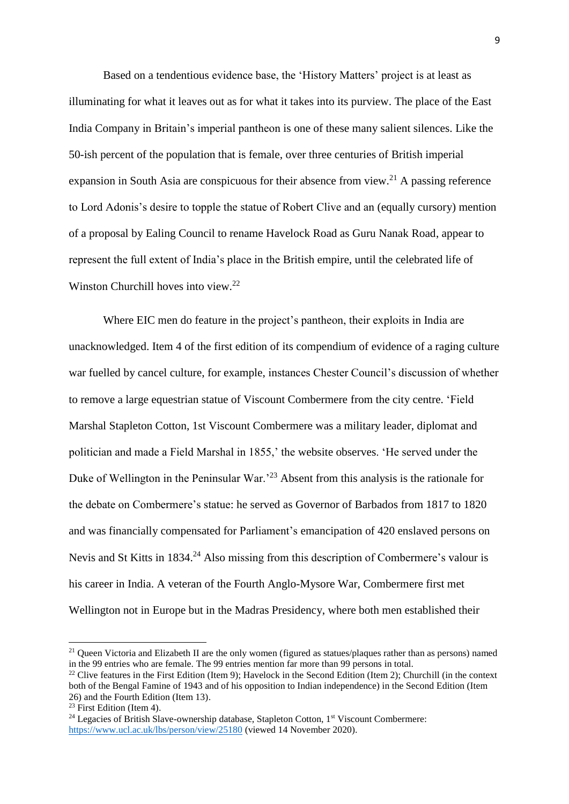Based on a tendentious evidence base, the 'History Matters' project is at least as illuminating for what it leaves out as for what it takes into its purview. The place of the East India Company in Britain's imperial pantheon is one of these many salient silences. Like the 50-ish percent of the population that is female, over three centuries of British imperial expansion in South Asia are conspicuous for their absence from view.<sup>21</sup> A passing reference to Lord Adonis's desire to topple the statue of Robert Clive and an (equally cursory) mention of a proposal by Ealing Council to rename Havelock Road as Guru Nanak Road, appear to represent the full extent of India's place in the British empire, until the celebrated life of Winston Churchill hoves into view.<sup>22</sup>

Where EIC men do feature in the project's pantheon, their exploits in India are unacknowledged. Item 4 of the first edition of its compendium of evidence of a raging culture war fuelled by cancel culture, for example, instances Chester Council's discussion of whether to remove a large equestrian statue of Viscount Combermere from the city centre. 'Field Marshal Stapleton Cotton, 1st Viscount Combermere was a military leader, diplomat and politician and made a Field Marshal in 1855,' the website observes. 'He served under the Duke of Wellington in the Peninsular War.<sup>23</sup> Absent from this analysis is the rationale for the debate on Combermere's statue: he served as Governor of Barbados from 1817 to 1820 and was financially compensated for Parliament's emancipation of 420 enslaved persons on Nevis and St Kitts in 1834.<sup>24</sup> Also missing from this description of Combermere's valour is his career in India. A veteran of the Fourth Anglo-Mysore War, Combermere first met Wellington not in Europe but in the Madras Presidency, where both men established their

<sup>&</sup>lt;sup>21</sup> Queen Victoria and Elizabeth II are the only women (figured as statues/plaques rather than as persons) named in the 99 entries who are female. The 99 entries mention far more than 99 persons in total.

<sup>&</sup>lt;sup>22</sup> Clive features in the First Edition (Item 9); Havelock in the Second Edition (Item 2); Churchill (in the context both of the Bengal Famine of 1943 and of his opposition to Indian independence) in the Second Edition (Item 26) and the Fourth Edition (Item 13).

 $23$  First Edition (Item 4).

<sup>&</sup>lt;sup>24</sup> Legacies of British Slave-ownership database, Stapleton Cotton, 1<sup>st</sup> Viscount Combermere: <https://www.ucl.ac.uk/lbs/person/view/25180> (viewed 14 November 2020).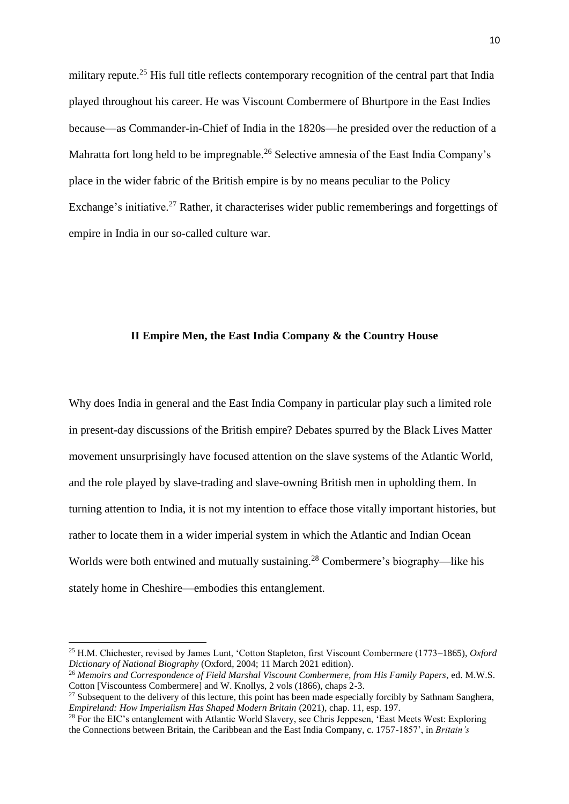military repute.<sup>25</sup> His full title reflects contemporary recognition of the central part that India played throughout his career. He was Viscount Combermere of Bhurtpore in the East Indies because—as Commander-in-Chief of India in the 1820s—he presided over the reduction of a Mahratta fort long held to be impregnable.<sup>26</sup> Selective amnesia of the East India Company's place in the wider fabric of the British empire is by no means peculiar to the Policy Exchange's initiative.<sup>27</sup> Rather, it characterises wider public rememberings and forgettings of empire in India in our so-called culture war.

#### **II Empire Men, the East India Company & the Country House**

Why does India in general and the East India Company in particular play such a limited role in present-day discussions of the British empire? Debates spurred by the Black Lives Matter movement unsurprisingly have focused attention on the slave systems of the Atlantic World, and the role played by slave-trading and slave-owning British men in upholding them. In turning attention to India, it is not my intention to efface those vitally important histories, but rather to locate them in a wider imperial system in which the Atlantic and Indian Ocean Worlds were both entwined and mutually sustaining.<sup>28</sup> Combermere's biography—like his stately home in Cheshire—embodies this entanglement.

<sup>25</sup> H.M. Chichester, revised by James Lunt, 'Cotton Stapleton, first Viscount Combermere (1773–1865), *Oxford Dictionary of National Biography* (Oxford, 2004; 11 March 2021 edition).

<sup>26</sup> *Memoirs and Correspondence of Field Marshal Viscount Combermere, from His Family Papers*, ed. M.W.S. Cotton [Viscountess Combermere] and W. Knollys, 2 vols (1866), chaps 2-3.

 $27$  Subsequent to the delivery of this lecture, this point has been made especially forcibly by Sathnam Sanghera, *Empireland: How Imperialism Has Shaped Modern Britain* (2021), chap. 11, esp. 197.

<sup>&</sup>lt;sup>28</sup> For the EIC's entanglement with Atlantic World Slavery, see Chris Jeppesen, 'East Meets West: Exploring the Connections between Britain, the Caribbean and the East India Company, c. 1757-1857', in *Britain's*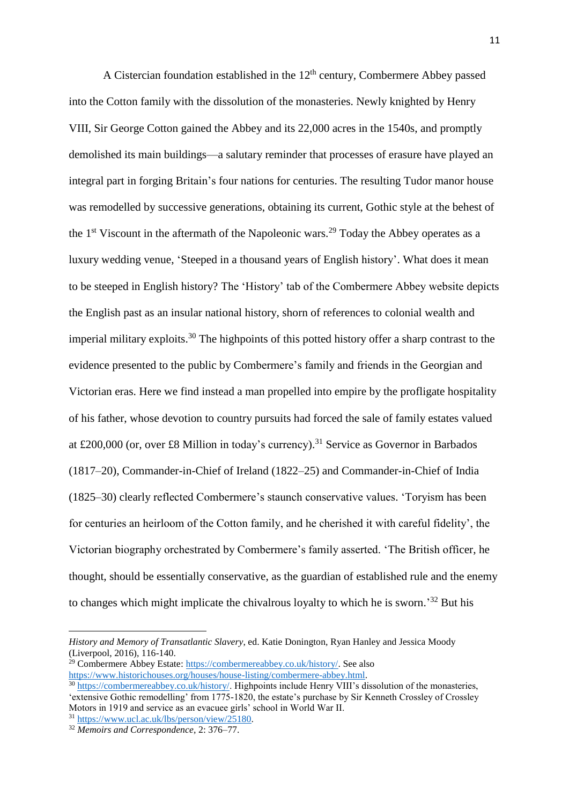A Cistercian foundation established in the  $12<sup>th</sup>$  century, Combermere Abbey passed into the Cotton family with the dissolution of the monasteries. Newly knighted by Henry VIII, Sir George Cotton gained the Abbey and its 22,000 acres in the 1540s, and promptly demolished its main buildings—a salutary reminder that processes of erasure have played an integral part in forging Britain's four nations for centuries. The resulting Tudor manor house was remodelled by successive generations, obtaining its current, Gothic style at the behest of the  $1<sup>st</sup>$  Viscount in the aftermath of the Napoleonic wars.<sup>29</sup> Today the Abbey operates as a luxury wedding venue, 'Steeped in a thousand years of English history'. What does it mean to be steeped in English history? The 'History' tab of the Combermere Abbey website depicts the English past as an insular national history, shorn of references to colonial wealth and imperial military exploits.<sup>30</sup> The highpoints of this potted history offer a sharp contrast to the evidence presented to the public by Combermere's family and friends in the Georgian and Victorian eras. Here we find instead a man propelled into empire by the profligate hospitality of his father, whose devotion to country pursuits had forced the sale of family estates valued at £200,000 (or, over £8 Million in today's currency).<sup>31</sup> Service as Governor in Barbados (1817–20), Commander-in-Chief of Ireland (1822–25) and Commander-in-Chief of India (1825–30) clearly reflected Combermere's staunch conservative values. 'Toryism has been for centuries an heirloom of the Cotton family, and he cherished it with careful fidelity', the Victorian biography orchestrated by Combermere's family asserted. 'The British officer, he thought, should be essentially conservative, as the guardian of established rule and the enemy to changes which might implicate the chivalrous loyalty to which he is sworn.<sup>32</sup> But his

*History and Memory of Transatlantic Slavery*, ed. Katie Donington, Ryan Hanley and Jessica Moody (Liverpool, 2016), 116-140.

 $29$  Combermere Abbey Estate: [https://combermereabbey.co.uk/history/.](https://combermereabbey.co.uk/history/) See also [https://www.historichouses.org/houses/house-listing/combermere-abbey.html.](https://www.historichouses.org/houses/house-listing/combermere-abbey.html)

<sup>&</sup>lt;sup>30</sup> [https://combermereabbey.co.uk/history/.](https://combermereabbey.co.uk/history/) Highpoints include Henry VIII's dissolution of the monasteries, 'extensive Gothic remodelling' from 1775-1820, the estate's purchase by Sir Kenneth Crossley of Crossley Motors in 1919 and service as an evacuee girls' school in World War II.

<sup>31</sup> [https://www.ucl.ac.uk/lbs/person/view/25180.](https://www.ucl.ac.uk/lbs/person/view/25180)

<sup>32</sup> *Memoirs and Correspondence*, 2: 376–77.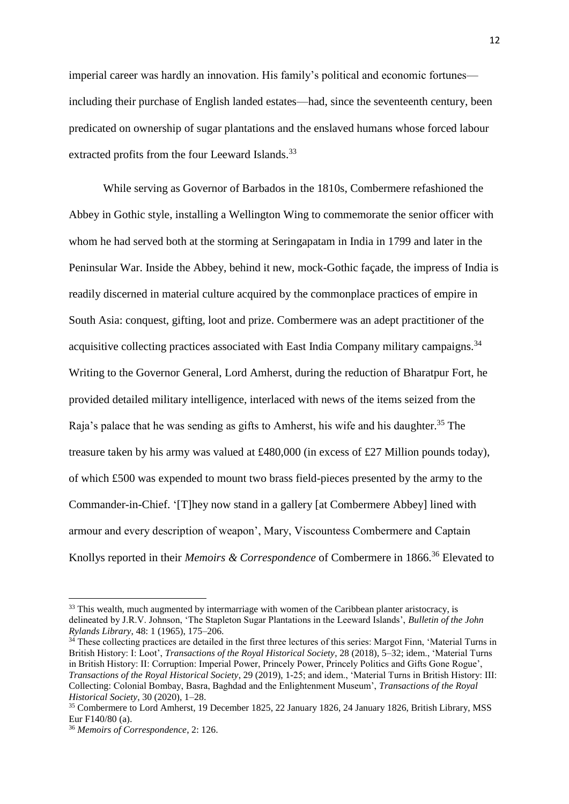imperial career was hardly an innovation. His family's political and economic fortunes including their purchase of English landed estates—had, since the seventeenth century, been predicated on ownership of sugar plantations and the enslaved humans whose forced labour extracted profits from the four Leeward Islands.<sup>33</sup>

While serving as Governor of Barbados in the 1810s, Combermere refashioned the Abbey in Gothic style, installing a Wellington Wing to commemorate the senior officer with whom he had served both at the storming at Seringapatam in India in 1799 and later in the Peninsular War. Inside the Abbey, behind it new, mock-Gothic façade, the impress of India is readily discerned in material culture acquired by the commonplace practices of empire in South Asia: conquest, gifting, loot and prize. Combermere was an adept practitioner of the acquisitive collecting practices associated with East India Company military campaigns.<sup>34</sup> Writing to the Governor General, Lord Amherst, during the reduction of Bharatpur Fort, he provided detailed military intelligence, interlaced with news of the items seized from the Raja's palace that he was sending as gifts to Amherst, his wife and his daughter.<sup>35</sup> The treasure taken by his army was valued at £480,000 (in excess of £27 Million pounds today), of which £500 was expended to mount two brass field-pieces presented by the army to the Commander-in-Chief. '[T]hey now stand in a gallery [at Combermere Abbey] lined with armour and every description of weapon', Mary, Viscountess Combermere and Captain Knollys reported in their *Memoirs & Correspondence* of Combermere in 1866.<sup>36</sup> Elevated to

<sup>&</sup>lt;sup>33</sup> This wealth, much augmented by intermarriage with women of the Caribbean planter aristocracy, is delineated by J.R.V. Johnson, 'The Stapleton Sugar Plantations in the Leeward Islands', *Bulletin of the John Rylands Library*, 48: 1 (1965), 175–206.

<sup>&</sup>lt;sup>34</sup> These collecting practices are detailed in the first three lectures of this series: Margot Finn, 'Material Turns in British History: I: Loot', *Transactions of the Royal Historical Society*, 28 (2018), 5–32; idem., 'Material Turns in British History: II: Corruption: Imperial Power, Princely Power, Princely Politics and Gifts Gone Rogue', *Transactions of the Royal Historical Society*, 29 (2019), 1-25; and idem., 'Material Turns in British History: III: Collecting: Colonial Bombay, Basra, Baghdad and the Enlightenment Museum', *Transactions of the Royal Historical Society*, 30 (2020), 1–28.

<sup>35</sup> Combermere to Lord Amherst, 19 December 1825, 22 January 1826, 24 January 1826, British Library, MSS Eur F140/80 (a).

<sup>36</sup> *Memoirs of Correspondence*, 2: 126.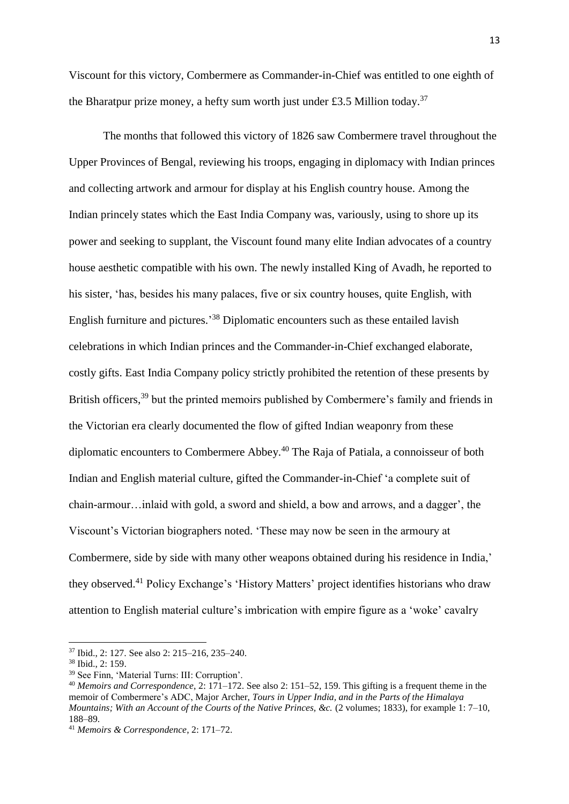Viscount for this victory, Combermere as Commander-in-Chief was entitled to one eighth of the Bharatpur prize money, a hefty sum worth just under £3.5 Million today.<sup>37</sup>

The months that followed this victory of 1826 saw Combermere travel throughout the Upper Provinces of Bengal, reviewing his troops, engaging in diplomacy with Indian princes and collecting artwork and armour for display at his English country house. Among the Indian princely states which the East India Company was, variously, using to shore up its power and seeking to supplant, the Viscount found many elite Indian advocates of a country house aesthetic compatible with his own. The newly installed King of Avadh, he reported to his sister, 'has, besides his many palaces, five or six country houses, quite English, with English furniture and pictures.<sup>38</sup> Diplomatic encounters such as these entailed lavish celebrations in which Indian princes and the Commander-in-Chief exchanged elaborate, costly gifts. East India Company policy strictly prohibited the retention of these presents by British officers,<sup>39</sup> but the printed memoirs published by Combermere's family and friends in the Victorian era clearly documented the flow of gifted Indian weaponry from these diplomatic encounters to Combermere Abbey.<sup>40</sup> The Raja of Patiala, a connoisseur of both Indian and English material culture, gifted the Commander-in-Chief 'a complete suit of chain-armour…inlaid with gold, a sword and shield, a bow and arrows, and a dagger', the Viscount's Victorian biographers noted. 'These may now be seen in the armoury at Combermere, side by side with many other weapons obtained during his residence in India,' they observed.<sup>41</sup> Policy Exchange's 'History Matters' project identifies historians who draw attention to English material culture's imbrication with empire figure as a 'woke' cavalry

<sup>37</sup> Ibid., 2: 127. See also 2: 215–216, 235–240.

<sup>&</sup>lt;sup>38</sup> Ibid., 2: 159.

<sup>39</sup> See Finn, 'Material Turns: III: Corruption'.

<sup>40</sup> *Memoirs and Correspondence*, 2: 171–172. See also 2: 151–52, 159. This gifting is a frequent theme in the memoir of Combermere's ADC, Major Archer, *Tours in Upper India, and in the Parts of the Himalaya Mountains; With an Account of the Courts of the Native Princes, &c.* (2 volumes; 1833), for example 1: 7–10, 188–89.

<sup>41</sup> *Memoirs & Correspondence*, 2: 171–72.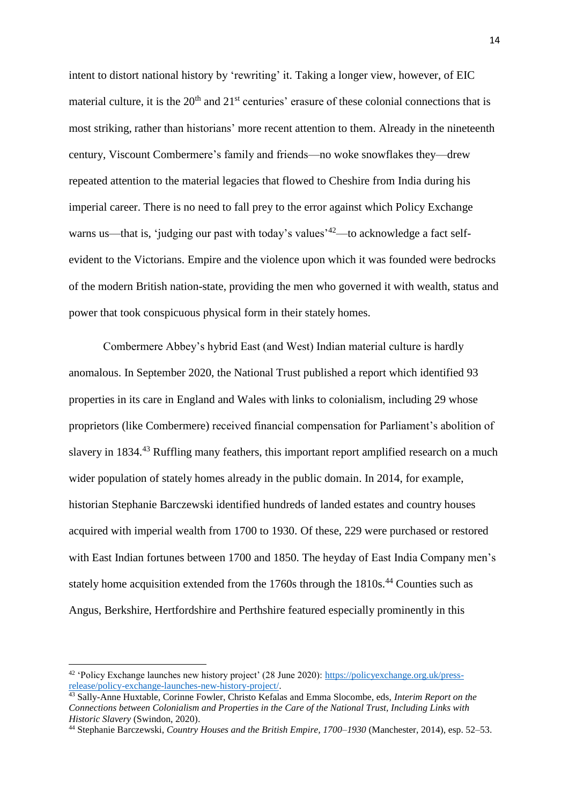intent to distort national history by 'rewriting' it. Taking a longer view, however, of EIC material culture, it is the  $20<sup>th</sup>$  and  $21<sup>st</sup>$  centuries' erasure of these colonial connections that is most striking, rather than historians' more recent attention to them. Already in the nineteenth century, Viscount Combermere's family and friends—no woke snowflakes they—drew repeated attention to the material legacies that flowed to Cheshire from India during his imperial career. There is no need to fall prey to the error against which Policy Exchange warns us—that is, 'judging our past with today's values<sup>'42</sup>—to acknowledge a fact selfevident to the Victorians. Empire and the violence upon which it was founded were bedrocks of the modern British nation-state, providing the men who governed it with wealth, status and power that took conspicuous physical form in their stately homes.

Combermere Abbey's hybrid East (and West) Indian material culture is hardly anomalous. In September 2020, the National Trust published a report which identified 93 properties in its care in England and Wales with links to colonialism, including 29 whose proprietors (like Combermere) received financial compensation for Parliament's abolition of slavery in 1834.<sup>43</sup> Ruffling many feathers, this important report amplified research on a much wider population of stately homes already in the public domain. In 2014, for example, historian Stephanie Barczewski identified hundreds of landed estates and country houses acquired with imperial wealth from 1700 to 1930. Of these, 229 were purchased or restored with East Indian fortunes between 1700 and 1850. The heyday of East India Company men's stately home acquisition extended from the  $1760s$  through the  $1810s<sup>44</sup>$  Counties such as Angus, Berkshire, Hertfordshire and Perthshire featured especially prominently in this

<sup>42</sup> 'Policy Exchange launches new history project' (28 June 2020): [https://policyexchange.org.uk/press](https://policyexchange.org.uk/press-release/policy-exchange-launches-new-history-project/)[release/policy-exchange-launches-new-history-project/.](https://policyexchange.org.uk/press-release/policy-exchange-launches-new-history-project/)

<sup>43</sup> Sally-Anne Huxtable, Corinne Fowler, Christo Kefalas and Emma Slocombe, eds, *Interim Report on the Connections between Colonialism and Properties in the Care of the National Trust, Including Links with Historic Slavery* (Swindon, 2020).

<sup>44</sup> Stephanie Barczewski, *Country Houses and the British Empire, 1700–1930* (Manchester, 2014), esp. 52–53.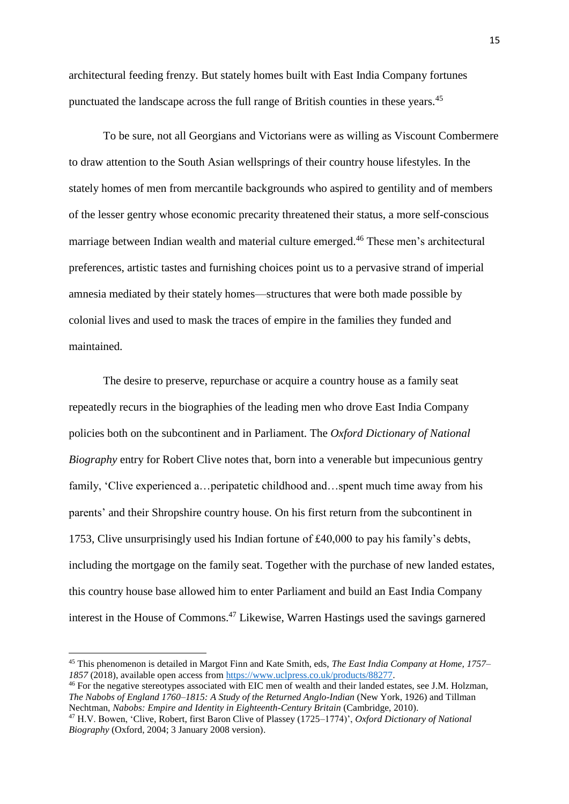architectural feeding frenzy. But stately homes built with East India Company fortunes punctuated the landscape across the full range of British counties in these years.<sup>45</sup>

To be sure, not all Georgians and Victorians were as willing as Viscount Combermere to draw attention to the South Asian wellsprings of their country house lifestyles. In the stately homes of men from mercantile backgrounds who aspired to gentility and of members of the lesser gentry whose economic precarity threatened their status, a more self-conscious marriage between Indian wealth and material culture emerged. <sup>46</sup> These men's architectural preferences, artistic tastes and furnishing choices point us to a pervasive strand of imperial amnesia mediated by their stately homes—structures that were both made possible by colonial lives and used to mask the traces of empire in the families they funded and maintained.

The desire to preserve, repurchase or acquire a country house as a family seat repeatedly recurs in the biographies of the leading men who drove East India Company policies both on the subcontinent and in Parliament. The *Oxford Dictionary of National Biography* entry for Robert Clive notes that, born into a venerable but impecunious gentry family, 'Clive experienced a... peripatetic childhood and... spent much time away from his parents' and their Shropshire country house. On his first return from the subcontinent in 1753, Clive unsurprisingly used his Indian fortune of £40,000 to pay his family's debts, including the mortgage on the family seat. Together with the purchase of new landed estates, this country house base allowed him to enter Parliament and build an East India Company interest in the House of Commons.<sup>47</sup> Likewise, Warren Hastings used the savings garnered

<sup>45</sup> This phenomenon is detailed in Margot Finn and Kate Smith, eds, *The East India Company at Home, 1757– 1857* (2018), available open access fro[m https://www.uclpress.co.uk/products/88277.](https://www.uclpress.co.uk/products/88277)

<sup>46</sup> For the negative stereotypes associated with EIC men of wealth and their landed estates, see J.M. Holzman, *The Nabobs of England 1760–1815: A Study of the Returned Anglo-Indian* (New York, 1926) and Tillman Nechtman, *Nabobs: Empire and Identity in Eighteenth-Century Britain* (Cambridge, 2010).

<sup>47</sup> H.V. Bowen, 'Clive, Robert, first Baron Clive of Plassey (1725–1774)', *Oxford Dictionary of National Biography* (Oxford, 2004; 3 January 2008 version).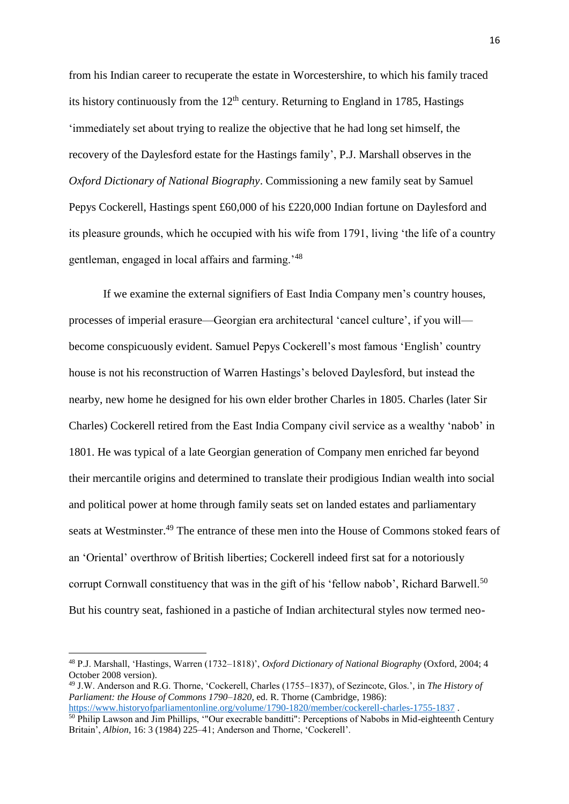from his Indian career to recuperate the estate in Worcestershire, to which his family traced its history continuously from the  $12<sup>th</sup>$  century. Returning to England in 1785, Hastings 'immediately set about trying to realize the objective that he had long set himself, the recovery of the Daylesford estate for the Hastings family', P.J. Marshall observes in the *Oxford Dictionary of National Biography*. Commissioning a new family seat by Samuel Pepys Cockerell, Hastings spent £60,000 of his £220,000 Indian fortune on Daylesford and its pleasure grounds, which he occupied with his wife from 1791, living 'the life of a country gentleman, engaged in local affairs and farming.'<sup>48</sup>

If we examine the external signifiers of East India Company men's country houses, processes of imperial erasure—Georgian era architectural 'cancel culture', if you will become conspicuously evident. Samuel Pepys Cockerell's most famous 'English' country house is not his reconstruction of Warren Hastings's beloved Daylesford, but instead the nearby, new home he designed for his own elder brother Charles in 1805. Charles (later Sir Charles) Cockerell retired from the East India Company civil service as a wealthy 'nabob' in 1801. He was typical of a late Georgian generation of Company men enriched far beyond their mercantile origins and determined to translate their prodigious Indian wealth into social and political power at home through family seats set on landed estates and parliamentary seats at Westminster.<sup>49</sup> The entrance of these men into the House of Commons stoked fears of an 'Oriental' overthrow of British liberties; Cockerell indeed first sat for a notoriously corrupt Cornwall constituency that was in the gift of his 'fellow nabob', Richard Barwell.<sup>50</sup> But his country seat, fashioned in a pastiche of Indian architectural styles now termed neo-

<sup>48</sup> P.J. Marshall, 'Hastings, Warren (1732–1818)', *Oxford Dictionary of National Biography* (Oxford, 2004; 4 October 2008 version).

<sup>49</sup> J.W. Anderson and R.G. Thorne, 'Cockerell, Charles (1755–1837), of Sezincote, Glos.', in *The History of Parliament: the House of Commons 1790–1820*, ed. R. Thorne (Cambridge, 1986): <https://www.historyofparliamentonline.org/volume/1790-1820/member/cockerell-charles-1755-1837> .

<sup>50</sup> Philip Lawson and Jim Phillips, '"Our execrable banditti": Perceptions of Nabobs in Mid-eighteenth Century Britain', *Albion*, 16: 3 (1984) 225–41; Anderson and Thorne, 'Cockerell'.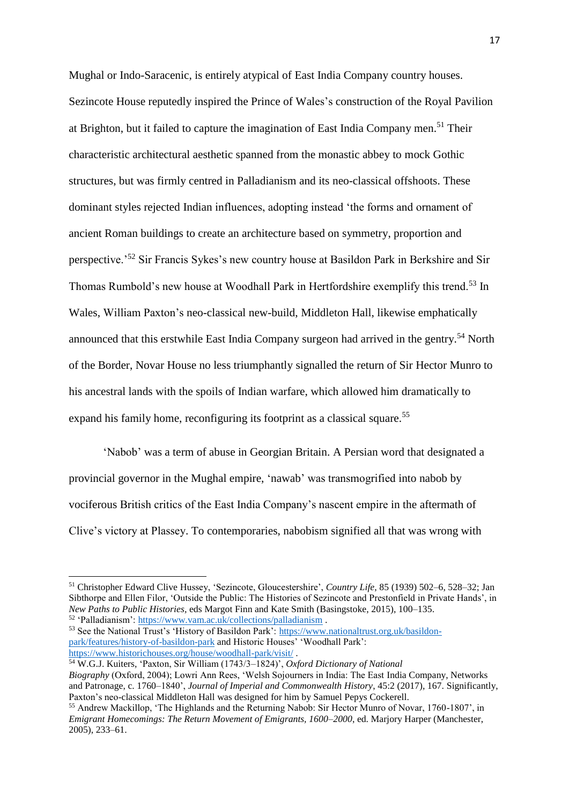Mughal or Indo-Saracenic, is entirely atypical of East India Company country houses. Sezincote House reputedly inspired the Prince of Wales's construction of the Royal Pavilion at Brighton, but it failed to capture the imagination of East India Company men.<sup>51</sup> Their characteristic architectural aesthetic spanned from the monastic abbey to mock Gothic structures, but was firmly centred in Palladianism and its neo-classical offshoots. These dominant styles rejected Indian influences, adopting instead 'the forms and ornament of ancient Roman buildings to create an architecture based on symmetry, proportion and perspective.'<sup>52</sup> Sir Francis Sykes's new country house at Basildon Park in Berkshire and Sir Thomas Rumbold's new house at Woodhall Park in Hertfordshire exemplify this trend.<sup>53</sup> In Wales, William Paxton's neo-classical new-build, Middleton Hall, likewise emphatically announced that this erstwhile East India Company surgeon had arrived in the gentry.<sup>54</sup> North of the Border, Novar House no less triumphantly signalled the return of Sir Hector Munro to his ancestral lands with the spoils of Indian warfare, which allowed him dramatically to expand his family home, reconfiguring its footprint as a classical square.<sup>55</sup>

'Nabob' was a term of abuse in Georgian Britain. A Persian word that designated a provincial governor in the Mughal empire, 'nawab' was transmogrified into nabob by vociferous British critics of the East India Company's nascent empire in the aftermath of Clive's victory at Plassey. To contemporaries, nabobism signified all that was wrong with

<sup>51</sup> Christopher Edward Clive Hussey, 'Sezincote, Gloucestershire', *Country Life*, 85 (1939) 502–6, 528–32; Jan Sibthorpe and Ellen Filor, 'Outside the Public: The Histories of Sezincote and Prestonfield in Private Hands', in *New Paths to Public Histories,* eds Margot Finn and Kate Smith (Basingstoke, 2015), 100–135. <sup>52</sup> 'Palladianism':<https://www.vam.ac.uk/collections/palladianism> .

<sup>&</sup>lt;sup>53</sup> See the National Trust's 'History of Basildon Park': [https://www.nationaltrust.org.uk/basildon](https://www.nationaltrust.org.uk/basildon-park/features/history-of-basildon-park)[park/features/history-of-basildon-park](https://www.nationaltrust.org.uk/basildon-park/features/history-of-basildon-park) and Historic Houses' 'Woodhall Park': <https://www.historichouses.org/house/woodhall-park/visit/> .

<sup>54</sup> W.G.J. Kuiters, 'Paxton, Sir William (1743/3–1824)', *Oxford Dictionary of National*

*Biography* (Oxford, 2004); Lowri Ann Rees, 'Welsh Sojourners in India: The East India Company, Networks and Patronage, c. 1760–1840', *Journal of Imperial and Commonwealth History*, 45:2 (2017), 167. Significantly, Paxton's neo-classical Middleton Hall was designed for him by Samuel Pepys Cockerell.

<sup>55</sup> Andrew Mackillop, 'The Highlands and the Returning Nabob: Sir Hector Munro of Novar, 1760-1807', in *Emigrant Homecomings: The Return Movement of Emigrants, 1600–2000*, ed. Marjory Harper (Manchester, 2005), 233–61.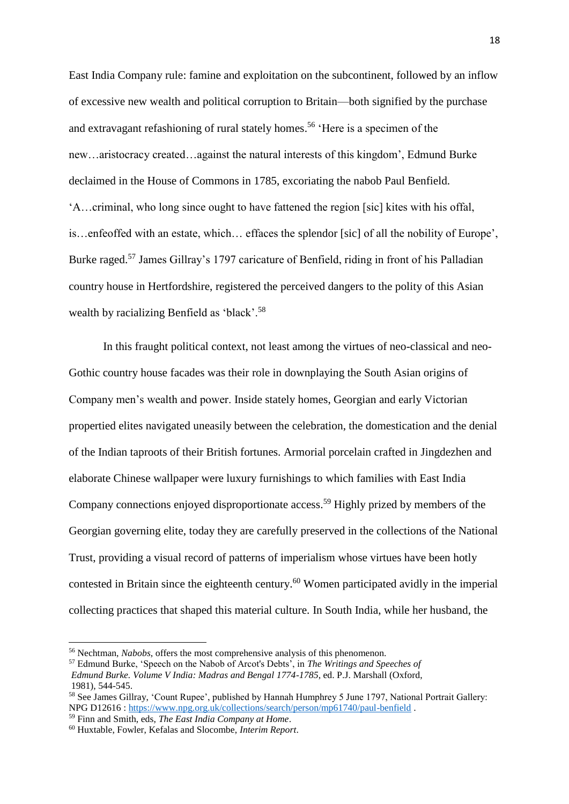East India Company rule: famine and exploitation on the subcontinent, followed by an inflow of excessive new wealth and political corruption to Britain—both signified by the purchase and extravagant refashioning of rural stately homes. <sup>56</sup> 'Here is a specimen of the new…aristocracy created…against the natural interests of this kingdom', Edmund Burke declaimed in the House of Commons in 1785, excoriating the nabob Paul Benfield. 'A…criminal, who long since ought to have fattened the region [sic] kites with his offal, is…enfeoffed with an estate, which… effaces the splendor [sic] of all the nobility of Europe', Burke raged.<sup>57</sup> James Gillray's 1797 caricature of Benfield, riding in front of his Palladian country house in Hertfordshire, registered the perceived dangers to the polity of this Asian wealth by racializing Benfield as 'black'.<sup>58</sup>

In this fraught political context, not least among the virtues of neo-classical and neo-Gothic country house facades was their role in downplaying the South Asian origins of Company men's wealth and power. Inside stately homes, Georgian and early Victorian propertied elites navigated uneasily between the celebration, the domestication and the denial of the Indian taproots of their British fortunes. Armorial porcelain crafted in Jingdezhen and elaborate Chinese wallpaper were luxury furnishings to which families with East India Company connections enjoyed disproportionate access. <sup>59</sup> Highly prized by members of the Georgian governing elite, today they are carefully preserved in the collections of the National Trust, providing a visual record of patterns of imperialism whose virtues have been hotly contested in Britain since the eighteenth century. <sup>60</sup> Women participated avidly in the imperial collecting practices that shaped this material culture. In South India, while her husband, the

<sup>56</sup> Nechtman, *Nabobs*, offers the most comprehensive analysis of this phenomenon.

<sup>57</sup> Edmund Burke, 'Speech on the Nabob of Arcot's Debts', in *The Writings and Speeches of Edmund Burke. Volume V India: Madras and Bengal 1774-1785*, ed. P.J. Marshall (Oxford, 1981), 544-545.

<sup>&</sup>lt;sup>58</sup> See James Gillray, 'Count Rupee', published by Hannah Humphrey 5 June 1797, National Portrait Gallery: NPG D12616 [: https://www.npg.org.uk/collections/search/person/mp61740/paul-benfield](https://www.npg.org.uk/collections/search/person/mp61740/paul-benfield) .

<sup>59</sup> Finn and Smith, eds, *The East India Company at Home*.

<sup>60</sup> Huxtable, Fowler, Kefalas and Slocombe, *Interim Report*.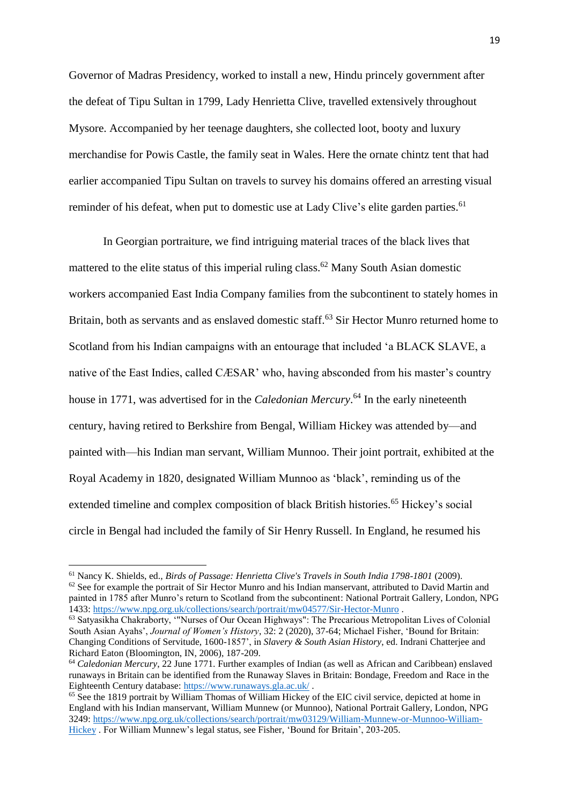Governor of Madras Presidency, worked to install a new, Hindu princely government after the defeat of Tipu Sultan in 1799, Lady Henrietta Clive, travelled extensively throughout Mysore. Accompanied by her teenage daughters, she collected loot, booty and luxury merchandise for Powis Castle, the family seat in Wales. Here the ornate chintz tent that had earlier accompanied Tipu Sultan on travels to survey his domains offered an arresting visual reminder of his defeat, when put to domestic use at Lady Clive's elite garden parties.<sup>61</sup>

In Georgian portraiture, we find intriguing material traces of the black lives that mattered to the elite status of this imperial ruling class.<sup>62</sup> Many South Asian domestic workers accompanied East India Company families from the subcontinent to stately homes in Britain, both as servants and as enslaved domestic staff.<sup>63</sup> Sir Hector Munro returned home to Scotland from his Indian campaigns with an entourage that included 'a BLACK SLAVE, a native of the East Indies, called CÆSAR' who, having absconded from his master's country house in 1771, was advertised for in the *Caledonian Mercury*. <sup>64</sup> In the early nineteenth century, having retired to Berkshire from Bengal, William Hickey was attended by—and painted with—his Indian man servant, William Munnoo. Their joint portrait, exhibited at the Royal Academy in 1820, designated William Munnoo as 'black', reminding us of the extended timeline and complex composition of black British histories.<sup>65</sup> Hickey's social circle in Bengal had included the family of Sir Henry Russell. In England, he resumed his

<sup>61</sup> Nancy K. Shields, ed., *Birds of Passage: Henrietta Clive's Travels in South India 1798-1801* (2009). <sup>62</sup> See for example the portrait of Sir Hector Munro and his Indian manservant, attributed to David Martin and painted in 1785 after Munro's return to Scotland from the subcontinent: National Portrait Gallery, London, NPG 1433:<https://www.npg.org.uk/collections/search/portrait/mw04577/Sir-Hector-Munro> .

<sup>63</sup> Satyasikha Chakraborty, '"Nurses of Our Ocean Highways": The Precarious Metropolitan Lives of Colonial South Asian Ayahs', *Journal of Women's History*, 32: 2 (2020), 37-64; Michael Fisher, 'Bound for Britain: Changing Conditions of Servitude, 1600-1857', in *Slavery & South Asian History*, ed. Indrani Chatterjee and Richard Eaton (Bloomington, IN, 2006), 187-209.

<sup>64</sup> *Caledonian Mercury*, 22 June 1771. Further examples of Indian (as well as African and Caribbean) enslaved runaways in Britain can be identified from the Runaway Slaves in Britain: Bondage, Freedom and Race in the Eighteenth Century database:<https://www.runaways.gla.ac.uk/> .

<sup>&</sup>lt;sup>65</sup> See the 1819 portrait by William Thomas of William Hickey of the EIC civil service, depicted at home in England with his Indian manservant, William Munnew (or Munnoo), National Portrait Gallery, London, NPG 3249: [https://www.npg.org.uk/collections/search/portrait/mw03129/William-Munnew-or-Munnoo-William-](https://www.npg.org.uk/collections/search/portrait/mw03129/William-Munnew-or-Munnoo-William-Hickey)[Hickey](https://www.npg.org.uk/collections/search/portrait/mw03129/William-Munnew-or-Munnoo-William-Hickey) . For William Munnew's legal status, see Fisher, 'Bound for Britain', 203-205.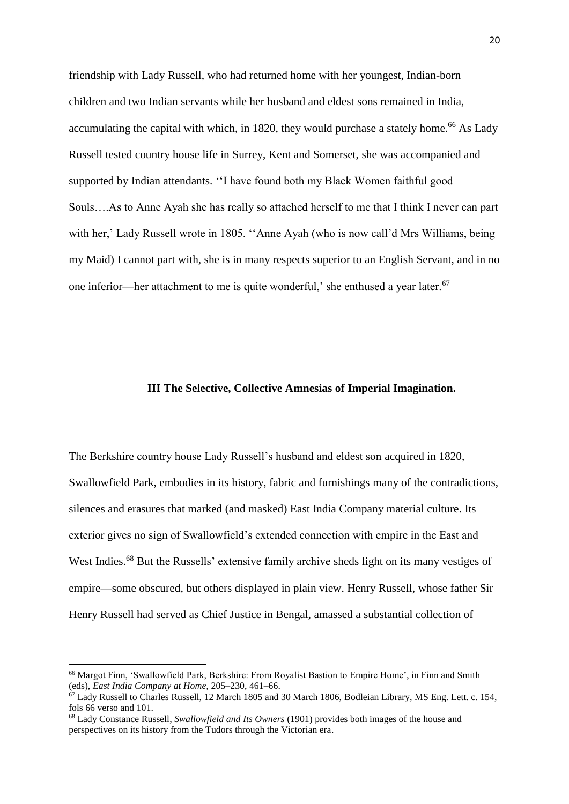friendship with Lady Russell, who had returned home with her youngest, Indian-born children and two Indian servants while her husband and eldest sons remained in India, accumulating the capital with which, in 1820, they would purchase a stately home.<sup>66</sup> As Lady Russell tested country house life in Surrey, Kent and Somerset, she was accompanied and supported by Indian attendants. ''I have found both my Black Women faithful good Souls….As to Anne Ayah she has really so attached herself to me that I think I never can part with her,' Lady Russell wrote in 1805. "Anne Ayah (who is now call'd Mrs Williams, being my Maid) I cannot part with, she is in many respects superior to an English Servant, and in no one inferior—her attachment to me is quite wonderful,' she enthused a year later.<sup>67</sup>

### **III The Selective, Collective Amnesias of Imperial Imagination.**

The Berkshire country house Lady Russell's husband and eldest son acquired in 1820, Swallowfield Park, embodies in its history, fabric and furnishings many of the contradictions, silences and erasures that marked (and masked) East India Company material culture. Its exterior gives no sign of Swallowfield's extended connection with empire in the East and West Indies.<sup>68</sup> But the Russells' extensive family archive sheds light on its many vestiges of empire—some obscured, but others displayed in plain view. Henry Russell, whose father Sir Henry Russell had served as Chief Justice in Bengal, amassed a substantial collection of

<sup>66</sup> Margot Finn, 'Swallowfield Park, Berkshire: From Royalist Bastion to Empire Home', in Finn and Smith (eds), *East India Company at Home*, 205–230, 461–66.

<sup>67</sup> Lady Russell to Charles Russell, 12 March 1805 and 30 March 1806, Bodleian Library, MS Eng. Lett. c. 154, fols 66 verso and 101.

<sup>68</sup> Lady Constance Russell, *Swallowfield and Its Owners* (1901) provides both images of the house and perspectives on its history from the Tudors through the Victorian era.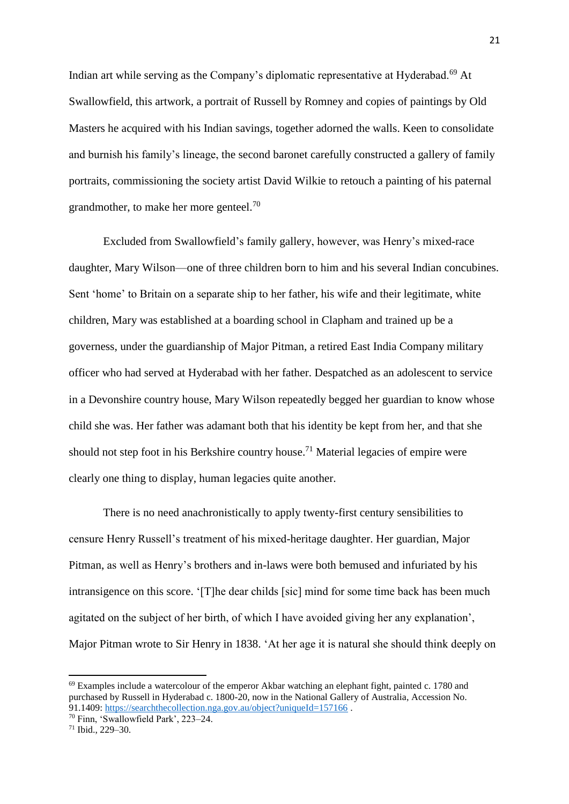Indian art while serving as the Company's diplomatic representative at Hyderabad.<sup>69</sup> At Swallowfield, this artwork, a portrait of Russell by Romney and copies of paintings by Old Masters he acquired with his Indian savings, together adorned the walls. Keen to consolidate and burnish his family's lineage, the second baronet carefully constructed a gallery of family portraits, commissioning the society artist David Wilkie to retouch a painting of his paternal grandmother, to make her more genteel.<sup>70</sup>

Excluded from Swallowfield's family gallery, however, was Henry's mixed-race daughter, Mary Wilson—one of three children born to him and his several Indian concubines. Sent 'home' to Britain on a separate ship to her father, his wife and their legitimate, white children, Mary was established at a boarding school in Clapham and trained up be a governess, under the guardianship of Major Pitman, a retired East India Company military officer who had served at Hyderabad with her father. Despatched as an adolescent to service in a Devonshire country house, Mary Wilson repeatedly begged her guardian to know whose child she was. Her father was adamant both that his identity be kept from her, and that she should not step foot in his Berkshire country house.<sup>71</sup> Material legacies of empire were clearly one thing to display, human legacies quite another.

There is no need anachronistically to apply twenty-first century sensibilities to censure Henry Russell's treatment of his mixed-heritage daughter. Her guardian, Major Pitman, as well as Henry's brothers and in-laws were both bemused and infuriated by his intransigence on this score. '[T]he dear childs [sic] mind for some time back has been much agitated on the subject of her birth, of which I have avoided giving her any explanation', Major Pitman wrote to Sir Henry in 1838. 'At her age it is natural she should think deeply on

 $69$  Examples include a watercolour of the emperor Akbar watching an elephant fight, painted c. 1780 and purchased by Russell in Hyderabad c. 1800-20, now in the National Gallery of Australia, Accession No. 91.1409:<https://searchthecollection.nga.gov.au/object?uniqueId=157166>.

<sup>70</sup> Finn, 'Swallowfield Park', 223–24.

<sup>71</sup> Ibid., 229–30.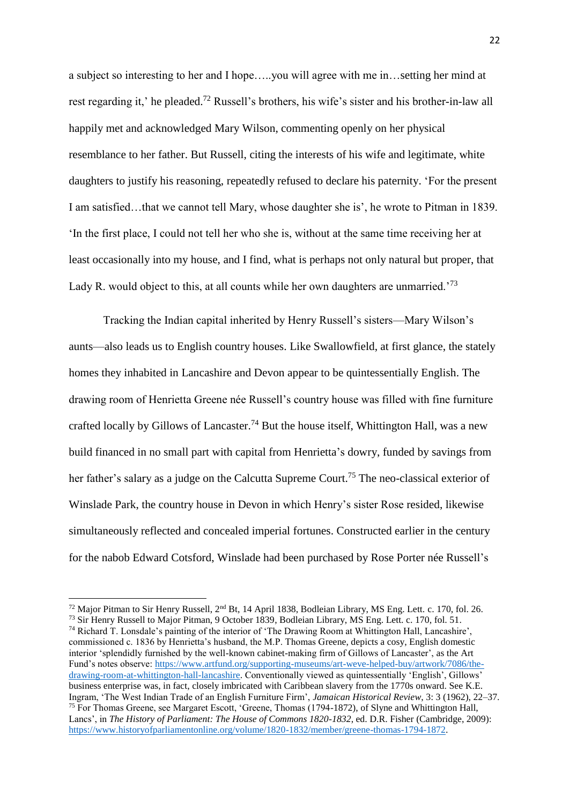a subject so interesting to her and I hope…..you will agree with me in…setting her mind at rest regarding it,' he pleaded.<sup>72</sup> Russell's brothers, his wife's sister and his brother-in-law all happily met and acknowledged Mary Wilson, commenting openly on her physical resemblance to her father. But Russell, citing the interests of his wife and legitimate, white daughters to justify his reasoning, repeatedly refused to declare his paternity. 'For the present I am satisfied…that we cannot tell Mary, whose daughter she is', he wrote to Pitman in 1839. 'In the first place, I could not tell her who she is, without at the same time receiving her at least occasionally into my house, and I find, what is perhaps not only natural but proper, that Lady R. would object to this, at all counts while her own daughters are unmarried.<sup>73</sup>

Tracking the Indian capital inherited by Henry Russell's sisters—Mary Wilson's aunts—also leads us to English country houses. Like Swallowfield, at first glance, the stately homes they inhabited in Lancashire and Devon appear to be quintessentially English. The drawing room of Henrietta Greene née Russell's country house was filled with fine furniture crafted locally by Gillows of Lancaster.<sup>74</sup> But the house itself, Whittington Hall, was a new build financed in no small part with capital from Henrietta's dowry, funded by savings from her father's salary as a judge on the Calcutta Supreme Court.<sup>75</sup> The neo-classical exterior of Winslade Park, the country house in Devon in which Henry's sister Rose resided, likewise simultaneously reflected and concealed imperial fortunes. Constructed earlier in the century for the nabob Edward Cotsford, Winslade had been purchased by Rose Porter née Russell's

<sup>72</sup> Major Pitman to Sir Henry Russell, 2nd Bt, 14 April 1838, Bodleian Library, MS Eng. Lett. c. 170, fol. 26.

<sup>73</sup> Sir Henry Russell to Major Pitman, 9 October 1839, Bodleian Library, MS Eng. Lett. c. 170, fol. 51.

<sup>74</sup> Richard T. Lonsdale's painting of the interior of 'The Drawing Room at Whittington Hall, Lancashire', commissioned c. 1836 by Henrietta's husband, the M.P. Thomas Greene, depicts a cosy, English domestic interior 'splendidly furnished by the well-known cabinet-making firm of Gillows of Lancaster', as the Art Fund's notes observe: [https://www.artfund.org/supporting-museums/art-weve-helped-buy/artwork/7086/the](https://www.artfund.org/supporting-museums/art-weve-helped-buy/artwork/7086/the-drawing-room-at-whittington-hall-lancashire)[drawing-room-at-whittington-hall-lancashire.](https://www.artfund.org/supporting-museums/art-weve-helped-buy/artwork/7086/the-drawing-room-at-whittington-hall-lancashire) Conventionally viewed as quintessentially 'English', Gillows' business enterprise was, in fact, closely imbricated with Caribbean slavery from the 1770s onward. See K.E. Ingram, 'The West Indian Trade of an English Furniture Firm', *Jamaican Historical Review*, 3: 3 (1962), 22–37. <sup>75</sup> For Thomas Greene, see Margaret Escott, 'Greene, Thomas (1794-1872), of Slyne and Whittington Hall, Lancs', in *The History of Parliament: The House of Commons 1820-1832*, ed. D.R. Fisher (Cambridge, 2009): [https://www.historyofparliamentonline.org/volume/1820-1832/member/greene-thomas-1794-1872.](https://www.historyofparliamentonline.org/volume/1820-1832/member/greene-thomas-1794-1872)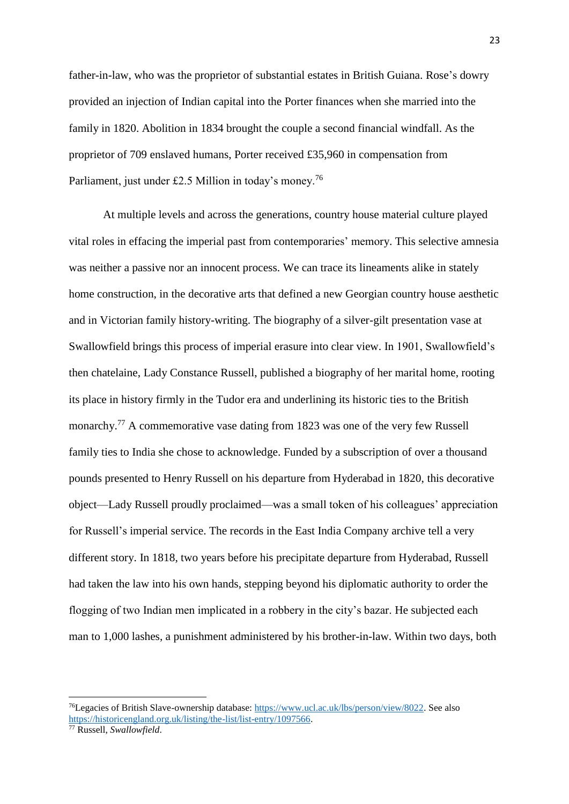father-in-law, who was the proprietor of substantial estates in British Guiana. Rose's dowry provided an injection of Indian capital into the Porter finances when she married into the family in 1820. Abolition in 1834 brought the couple a second financial windfall. As the proprietor of 709 enslaved humans, Porter received £35,960 in compensation from Parliament, just under £2.5 Million in today's money.<sup>76</sup>

At multiple levels and across the generations, country house material culture played vital roles in effacing the imperial past from contemporaries' memory. This selective amnesia was neither a passive nor an innocent process. We can trace its lineaments alike in stately home construction, in the decorative arts that defined a new Georgian country house aesthetic and in Victorian family history-writing. The biography of a silver-gilt presentation vase at Swallowfield brings this process of imperial erasure into clear view. In 1901, Swallowfield's then chatelaine, Lady Constance Russell, published a biography of her marital home, rooting its place in history firmly in the Tudor era and underlining its historic ties to the British monarchy.<sup>77</sup> A commemorative vase dating from 1823 was one of the very few Russell family ties to India she chose to acknowledge. Funded by a subscription of over a thousand pounds presented to Henry Russell on his departure from Hyderabad in 1820, this decorative object—Lady Russell proudly proclaimed—was a small token of his colleagues' appreciation for Russell's imperial service. The records in the East India Company archive tell a very different story. In 1818, two years before his precipitate departure from Hyderabad, Russell had taken the law into his own hands, stepping beyond his diplomatic authority to order the flogging of two Indian men implicated in a robbery in the city's bazar. He subjected each man to 1,000 lashes, a punishment administered by his brother-in-law. Within two days, both

<sup>76</sup>Legacies of British Slave-ownership database: [https://www.ucl.ac.uk/lbs/person/view/8022.](https://www.ucl.ac.uk/lbs/person/view/8022) See also [https://historicengland.org.uk/listing/the-list/list-entry/1097566.](https://historicengland.org.uk/listing/the-list/list-entry/1097566)

<sup>77</sup> Russell, *Swallowfield*.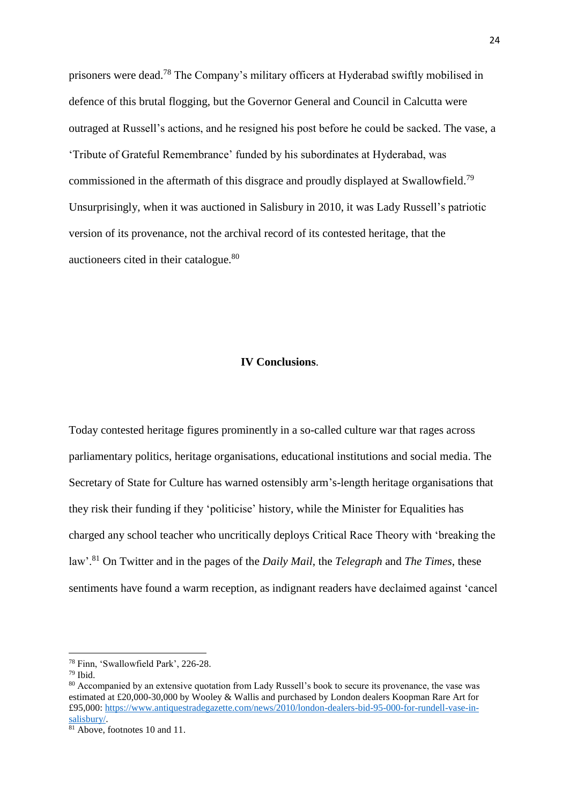prisoners were dead.<sup>78</sup> The Company's military officers at Hyderabad swiftly mobilised in defence of this brutal flogging, but the Governor General and Council in Calcutta were outraged at Russell's actions, and he resigned his post before he could be sacked. The vase, a 'Tribute of Grateful Remembrance' funded by his subordinates at Hyderabad, was commissioned in the aftermath of this disgrace and proudly displayed at Swallowfield.<sup>79</sup> Unsurprisingly, when it was auctioned in Salisbury in 2010, it was Lady Russell's patriotic version of its provenance, not the archival record of its contested heritage, that the auctioneers cited in their catalogue.<sup>80</sup>

#### **IV Conclusions**.

Today contested heritage figures prominently in a so-called culture war that rages across parliamentary politics, heritage organisations, educational institutions and social media. The Secretary of State for Culture has warned ostensibly arm's-length heritage organisations that they risk their funding if they 'politicise' history, while the Minister for Equalities has charged any school teacher who uncritically deploys Critical Race Theory with 'breaking the law'.<sup>81</sup> On Twitter and in the pages of the *Daily Mail*, the *Telegraph* and *The Times*, these sentiments have found a warm reception, as indignant readers have declaimed against 'cancel

<sup>78</sup> Finn, 'Swallowfield Park', 226-28.

 $79$  Ibid.

<sup>&</sup>lt;sup>80</sup> Accompanied by an extensive quotation from Lady Russell's book to secure its provenance, the vase was estimated at £20,000-30,000 by Wooley & Wallis and purchased by London dealers Koopman Rare Art for £95,000: [https://www.antiquestradegazette.com/news/2010/london-dealers-bid-95-000-for-rundell-vase-in](https://www.antiquestradegazette.com/news/2010/london-dealers-bid-95-000-for-rundell-vase-in-salisbury/)[salisbury/.](https://www.antiquestradegazette.com/news/2010/london-dealers-bid-95-000-for-rundell-vase-in-salisbury/)

 $81$  Above, footnotes 10 and 11.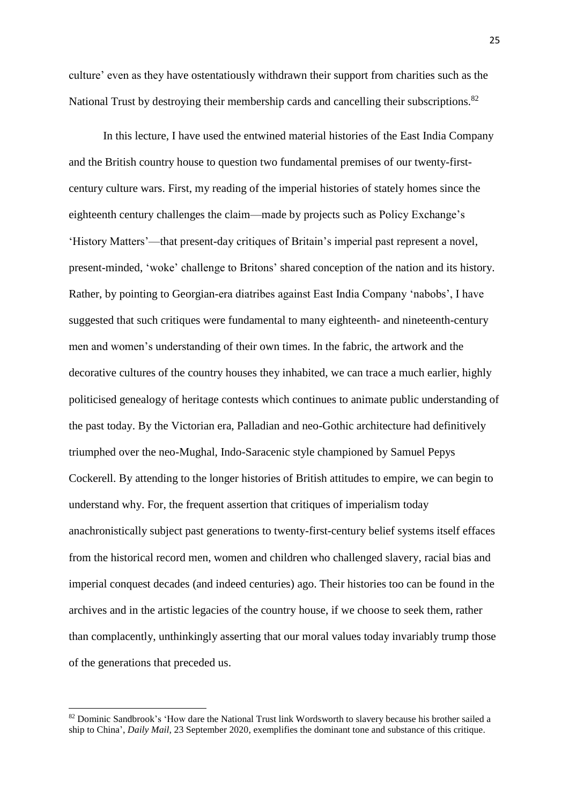culture' even as they have ostentatiously withdrawn their support from charities such as the National Trust by destroving their membership cards and cancelling their subscriptions.<sup>82</sup>

In this lecture, I have used the entwined material histories of the East India Company and the British country house to question two fundamental premises of our twenty-firstcentury culture wars. First, my reading of the imperial histories of stately homes since the eighteenth century challenges the claim—made by projects such as Policy Exchange's 'History Matters'—that present-day critiques of Britain's imperial past represent a novel, present-minded, 'woke' challenge to Britons' shared conception of the nation and its history. Rather, by pointing to Georgian-era diatribes against East India Company 'nabobs', I have suggested that such critiques were fundamental to many eighteenth- and nineteenth-century men and women's understanding of their own times. In the fabric, the artwork and the decorative cultures of the country houses they inhabited, we can trace a much earlier, highly politicised genealogy of heritage contests which continues to animate public understanding of the past today. By the Victorian era, Palladian and neo-Gothic architecture had definitively triumphed over the neo-Mughal, Indo-Saracenic style championed by Samuel Pepys Cockerell. By attending to the longer histories of British attitudes to empire, we can begin to understand why. For, the frequent assertion that critiques of imperialism today anachronistically subject past generations to twenty-first-century belief systems itself effaces from the historical record men, women and children who challenged slavery, racial bias and imperial conquest decades (and indeed centuries) ago. Their histories too can be found in the archives and in the artistic legacies of the country house, if we choose to seek them, rather than complacently, unthinkingly asserting that our moral values today invariably trump those of the generations that preceded us.

<sup>82</sup> Dominic Sandbrook's 'How dare the National Trust link Wordsworth to slavery because his brother sailed a ship to China', *Daily Mail*, 23 September 2020, exemplifies the dominant tone and substance of this critique.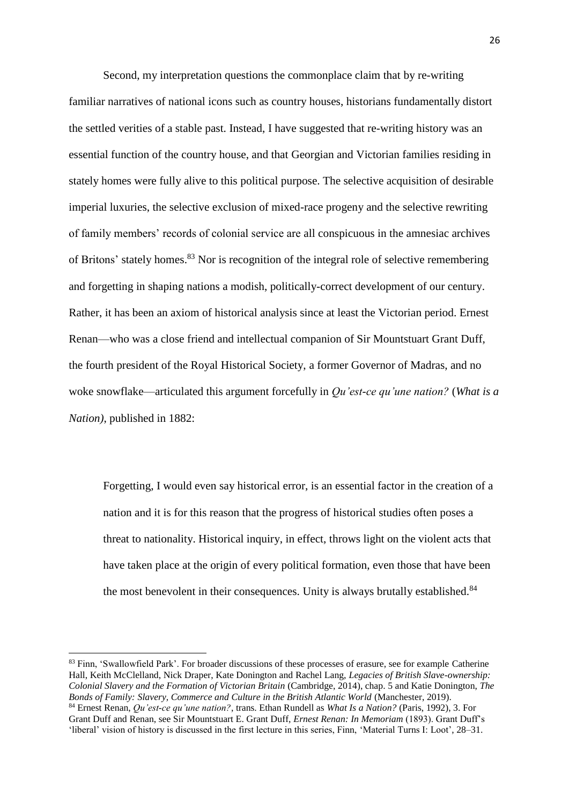Second, my interpretation questions the commonplace claim that by re-writing familiar narratives of national icons such as country houses, historians fundamentally distort the settled verities of a stable past. Instead, I have suggested that re-writing history was an essential function of the country house, and that Georgian and Victorian families residing in stately homes were fully alive to this political purpose. The selective acquisition of desirable imperial luxuries, the selective exclusion of mixed-race progeny and the selective rewriting of family members' records of colonial service are all conspicuous in the amnesiac archives of Britons' stately homes.<sup>83</sup> Nor is recognition of the integral role of selective remembering and forgetting in shaping nations a modish, politically-correct development of our century. Rather, it has been an axiom of historical analysis since at least the Victorian period. Ernest Renan—who was a close friend and intellectual companion of Sir Mountstuart Grant Duff, the fourth president of the Royal Historical Society, a former Governor of Madras, and no woke snowflake—articulated this argument forcefully in *Qu'est-ce qu'une nation?* (*What is a Nation)*, published in 1882:

Forgetting, I would even say historical error, is an essential factor in the creation of a nation and it is for this reason that the progress of historical studies often poses a threat to nationality. Historical inquiry, in effect, throws light on the violent acts that have taken place at the origin of every political formation, even those that have been the most benevolent in their consequences. Unity is always brutally established. $84$ 

<sup>83</sup> Finn, 'Swallowfield Park'. For broader discussions of these processes of erasure, see for example Catherine Hall, Keith McClelland, Nick Draper, Kate Donington and Rachel Lang, *Legacies of British Slave-ownership: Colonial Slavery and the Formation of Victorian Britain* (Cambridge, 2014), chap. 5 and Katie Donington, *The Bonds of Family: Slavery, Commerce and Culture in the British Atlantic World* (Manchester, 2019). <sup>84</sup> Ernest Renan, *Qu'est-ce qu'une nation?*, trans. Ethan Rundell as *What Is a Nation?* (Paris, 1992), 3. For Grant Duff and Renan, see Sir Mountstuart E. Grant Duff, *Ernest Renan: In Memoriam* (1893). Grant Duff's 'liberal' vision of history is discussed in the first lecture in this series, Finn, 'Material Turns I: Loot', 28–31.